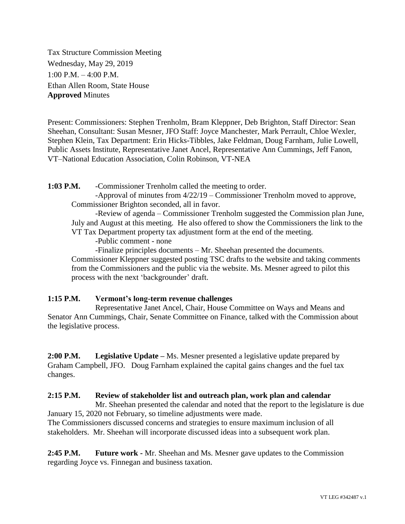Tax Structure Commission Meeting Wednesday, May 29, 2019 1:00 P.M. – 4:00 P.M. Ethan Allen Room, State House **Approved** Minutes

Present: Commissioners: Stephen Trenholm, Bram Kleppner, Deb Brighton, Staff Director: Sean Sheehan, Consultant: Susan Mesner, JFO Staff: Joyce Manchester, Mark Perrault, Chloe Wexler, Stephen Klein, Tax Department: Erin Hicks-Tibbles, Jake Feldman, Doug Farnham, Julie Lowell, Public Assets Institute, Representative Janet Ancel, Representative Ann Cummings, Jeff Fanon, VT–National Education Association, Colin Robinson, VT-NEA

**1:03 P.M.** -Commissioner Trenholm called the meeting to order.

-Approval of minutes from 4/22/19 – Commissioner Trenholm moved to approve, Commissioner Brighton seconded, all in favor.

-Review of agenda – Commissioner Trenholm suggested the Commission plan June, July and August at this meeting. He also offered to show the Commissioners the link to the VT Tax Department property tax adjustment form at the end of the meeting.

-Public comment - none

-Finalize principles documents – Mr. Sheehan presented the documents.

Commissioner Kleppner suggested posting TSC drafts to the website and taking comments from the Commissioners and the public via the website. Ms. Mesner agreed to pilot this process with the next 'backgrounder' draft.

## **1:15 P.M. Vermont's long-term revenue challenges**

Representative Janet Ancel, Chair, House Committee on Ways and Means and Senator Ann Cummings, Chair, Senate Committee on Finance, talked with the Commission about the legislative process.

**2:00 P.M. Legislative Update –** Ms. Mesner presented a legislative update prepared by Graham Campbell, JFO. Doug Farnham explained the capital gains changes and the fuel tax changes.

## **2:15 P.M. Review of stakeholder list and outreach plan, work plan and calendar**

Mr. Sheehan presented the calendar and noted that the report to the legislature is due January 15, 2020 not February, so timeline adjustments were made. The Commissioners discussed concerns and strategies to ensure maximum inclusion of all stakeholders. Mr. Sheehan will incorporate discussed ideas into a subsequent work plan.

**2:45 P.M. Future work -** Mr. Sheehan and Ms. Mesner gave updates to the Commission regarding Joyce vs. Finnegan and business taxation.